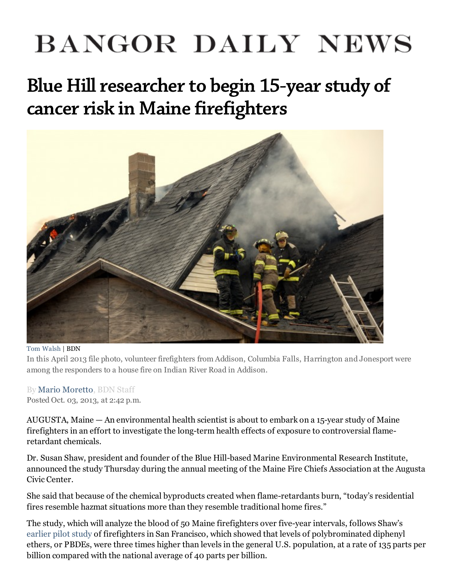## **BANGOR DAILY NEWS**

Blue Hill researcher to begin 15-year study of cancer risk in Maine [firefighters](http://bangordailynews.com/2013/10/03/health/blue-hill-researcher-to-begin-15-year-study-of-cancer-risk-in-maine-firefighters/)



## Tom [Walsh](http://bangordailynews.com/author/twalsh/) | BDN

In this April 2013 file photo, volunteer firefighters from Addison, Columbia Falls, Harrington and Jonesport were among the responders to a house fire on Indian River Road in Addison.

## By Mario [Moretto,](http://bangordailynews.com/author/mmoretto/) BDN Staff Posted Oct. 03, 2013, at 2:42 p.m.

AUGUSTA, Maine  $-$  An environmental health scientist is about to embark on a 15-year study of Maine firefighters in an effort to investigate the long-term health effects of exposure to controversial flameretardant chemicals.

Dr. Susan Shaw, president and founder of the Blue Hill-based Marine Environmental Research Institute, announced the study Thursday during the annual meeting of the Maine Fire Chiefs Association at the Augusta Civic Center.

She said that because of the chemical byproducts created when flame-retardants burn, "today's residential fires resemble hazmat situations more than they resemble traditional home fires."

The study, which will analyze the blood of 50 Maine firefighters over five-year intervals, follows Shaw's [earlier](https://bangordailynews.com/2013/05/04/health/study-exposure-to-flame-retardant-chemicals-means-firefighters-face-higher-cancer-risk-than-previously-thought/?ref=inline) pilot study of firefighters in San Francisco, which showed that levels of polybrominated diphenyl ethers, or PBDEs, were three times higher than levels in the general U.S. population, at a rate of 135 parts per billion compared with the national average of 40 parts per billion.